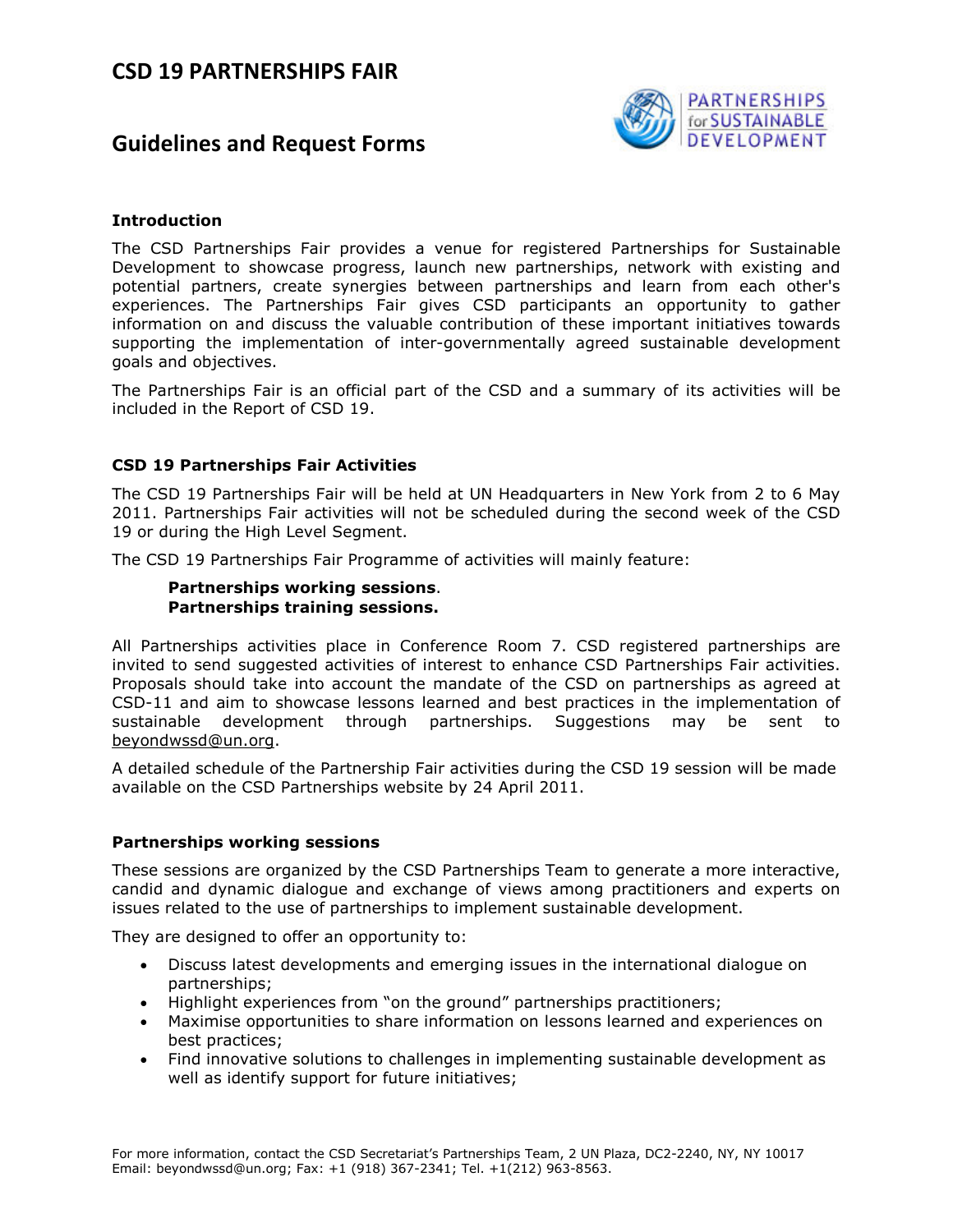# **Guidelines and Request Forms**



### **Introduction**

The CSD Partnerships Fair provides a venue for registered Partnerships for Sustainable Development to showcase progress, launch new partnerships, network with existing and potential partners, create synergies between partnerships and learn from each other's experiences. The Partnerships Fair gives CSD participants an opportunity to gather information on and discuss the valuable contribution of these important initiatives towards supporting the implementation of inter-governmentally agreed sustainable development goals and objectives.

The Partnerships Fair is an official part of the CSD and a summary of its activities will be included in the Report of CSD 19.

### **CSD 19 Partnerships Fair Activities**

The CSD 19 Partnerships Fair will be held at UN Headquarters in New York from 2 to 6 May 2011. Partnerships Fair activities will not be scheduled during the second week of the CSD 19 or during the High Level Segment.

The CSD 19 Partnerships Fair Programme of activities will mainly feature:

### **Partnerships working sessions**. **Partnerships training sessions.**

All Partnerships activities place in Conference Room 7. CSD registered partnerships are invited to send suggested activities of interest to enhance CSD Partnerships Fair activities. Proposals should take into account the mandate of the CSD on partnerships as agreed at CSD-11 and aim to showcase lessons learned and best practices in the implementation of sustainable development through partnerships. Suggestions may be sent to beyondwssd@un.org.

A detailed schedule of the Partnership Fair activities during the CSD 19 session will be made available on the CSD Partnerships website by 24 April 2011.

### **Partnerships working sessions**

These sessions are organized by the CSD Partnerships Team to generate a more interactive, candid and dynamic dialogue and exchange of views among practitioners and experts on issues related to the use of partnerships to implement sustainable development.

They are designed to offer an opportunity to:

- Discuss latest developments and emerging issues in the international dialogue on partnerships;
- Highlight experiences from "on the ground" partnerships practitioners;
- Maximise opportunities to share information on lessons learned and experiences on best practices;
- Find innovative solutions to challenges in implementing sustainable development as well as identify support for future initiatives;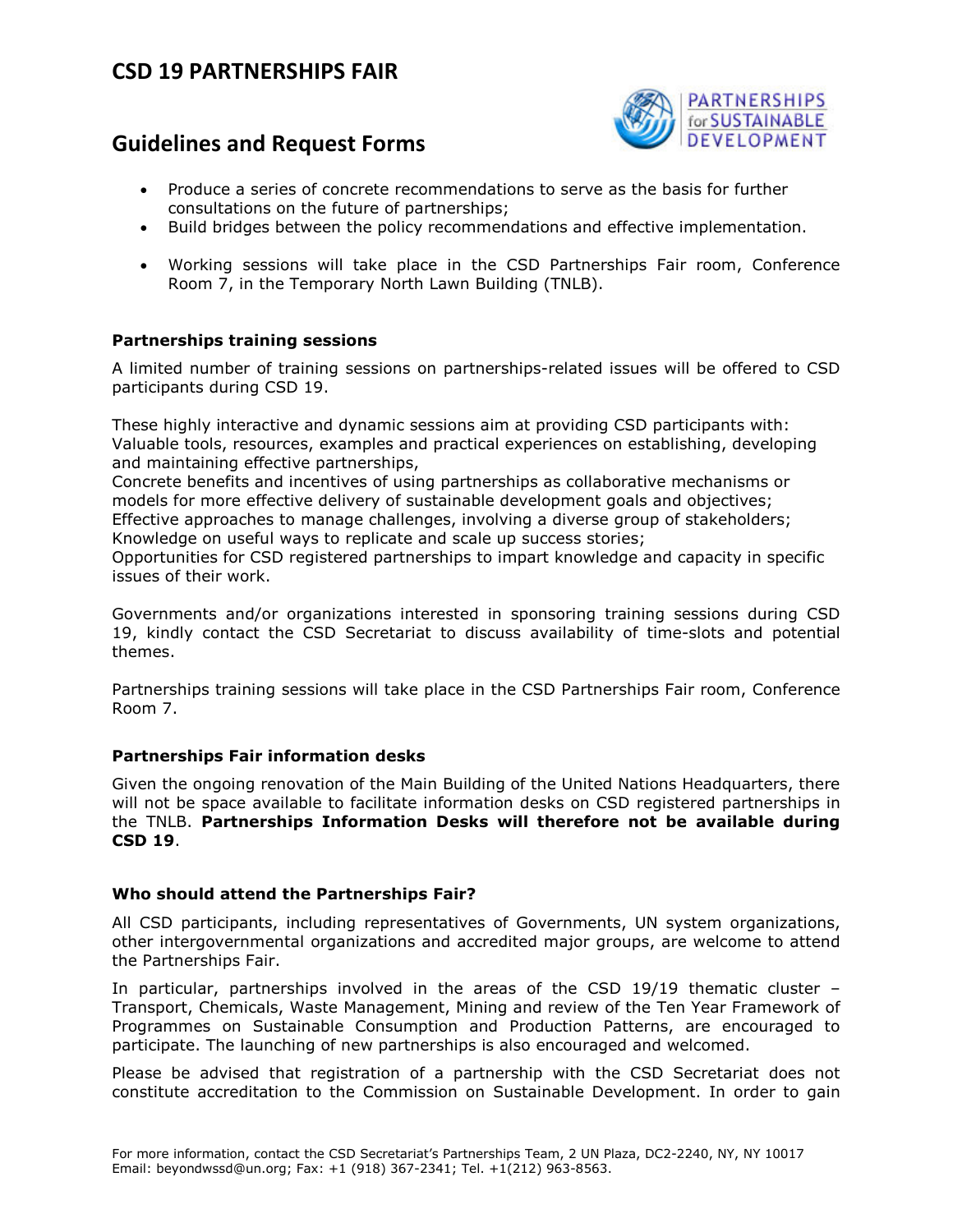# **Guidelines and Request Forms**



- Produce a series of concrete recommendations to serve as the basis for further consultations on the future of partnerships;
- Build bridges between the policy recommendations and effective implementation.
- Working sessions will take place in the CSD Partnerships Fair room, Conference Room 7, in the Temporary North Lawn Building (TNLB).

### **Partnerships training sessions**

A limited number of training sessions on partnerships-related issues will be offered to CSD participants during CSD 19.

These highly interactive and dynamic sessions aim at providing CSD participants with: Valuable tools, resources, examples and practical experiences on establishing, developing and maintaining effective partnerships,

Concrete benefits and incentives of using partnerships as collaborative mechanisms or models for more effective delivery of sustainable development goals and objectives; Effective approaches to manage challenges, involving a diverse group of stakeholders;

Knowledge on useful ways to replicate and scale up success stories;

Opportunities for CSD registered partnerships to impart knowledge and capacity in specific issues of their work.

Governments and/or organizations interested in sponsoring training sessions during CSD 19, kindly contact the CSD Secretariat to discuss availability of time-slots and potential themes.

Partnerships training sessions will take place in the CSD Partnerships Fair room, Conference Room 7.

### **Partnerships Fair information desks**

Given the ongoing renovation of the Main Building of the United Nations Headquarters, there will not be space available to facilitate information desks on CSD registered partnerships in the TNLB. **Partnerships Information Desks will therefore not be available during CSD 19**.

### **Who should attend the Partnerships Fair?**

All CSD participants, including representatives of Governments, UN system organizations, other intergovernmental organizations and accredited major groups, are welcome to attend the Partnerships Fair.

In particular, partnerships involved in the areas of the CSD 19/19 thematic cluster – Transport, Chemicals, Waste Management, Mining and review of the Ten Year Framework of Programmes on Sustainable Consumption and Production Patterns, are encouraged to participate. The launching of new partnerships is also encouraged and welcomed.

Please be advised that registration of a partnership with the CSD Secretariat does not constitute accreditation to the Commission on Sustainable Development. In order to gain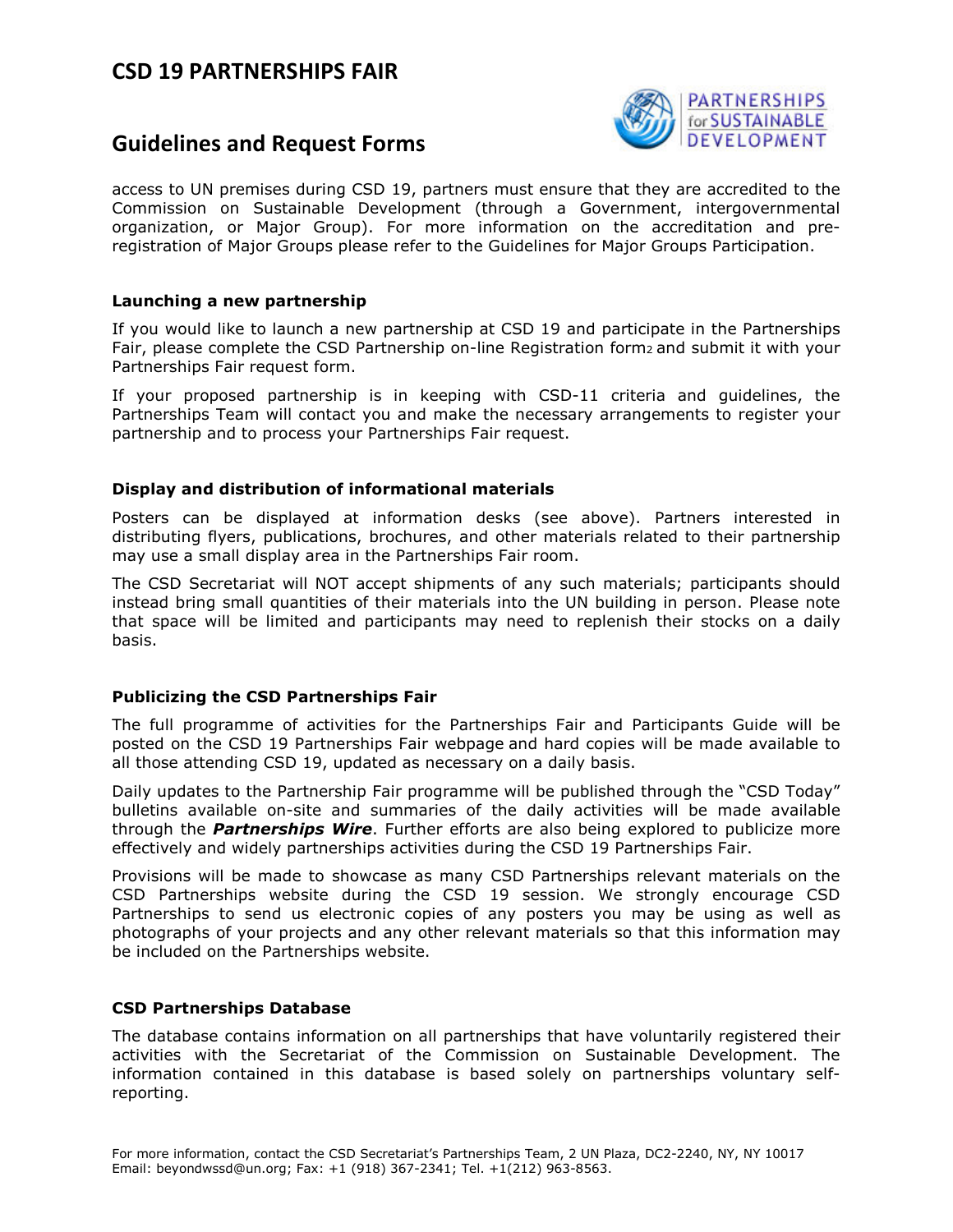### **Guidelines and Request Forms**



access to UN premises during CSD 19, partners must ensure that they are accredited to the Commission on Sustainable Development (through a Government, intergovernmental organization, or Major Group). For more information on the accreditation and preregistration of Major Groups please refer to the Guidelines for Major Groups Participation.

#### **Launching a new partnership**

If you would like to launch a new partnership at CSD 19 and participate in the Partnerships Fair, please complete the CSD Partnership on-line Registration form<sub>2</sub> and submit it with your Partnerships Fair request form.

If your proposed partnership is in keeping with CSD-11 criteria and guidelines, the Partnerships Team will contact you and make the necessary arrangements to register your partnership and to process your Partnerships Fair request.

### **Display and distribution of informational materials**

Posters can be displayed at information desks (see above). Partners interested in distributing flyers, publications, brochures, and other materials related to their partnership may use a small display area in the Partnerships Fair room.

The CSD Secretariat will NOT accept shipments of any such materials; participants should instead bring small quantities of their materials into the UN building in person. Please note that space will be limited and participants may need to replenish their stocks on a daily basis.

### **Publicizing the CSD Partnerships Fair**

The full programme of activities for the Partnerships Fair and Participants Guide will be posted on the CSD 19 Partnerships Fair webpage and hard copies will be made available to all those attending CSD 19, updated as necessary on a daily basis.

Daily updates to the Partnership Fair programme will be published through the "CSD Today" bulletins available on-site and summaries of the daily activities will be made available through the *Partnerships Wire*. Further efforts are also being explored to publicize more effectively and widely partnerships activities during the CSD 19 Partnerships Fair.

Provisions will be made to showcase as many CSD Partnerships relevant materials on the CSD Partnerships website during the CSD 19 session. We strongly encourage CSD Partnerships to send us electronic copies of any posters you may be using as well as photographs of your projects and any other relevant materials so that this information may be included on the Partnerships website.

### **CSD Partnerships Database**

The database contains information on all partnerships that have voluntarily registered their activities with the Secretariat of the Commission on Sustainable Development. The information contained in this database is based solely on partnerships voluntary selfreporting.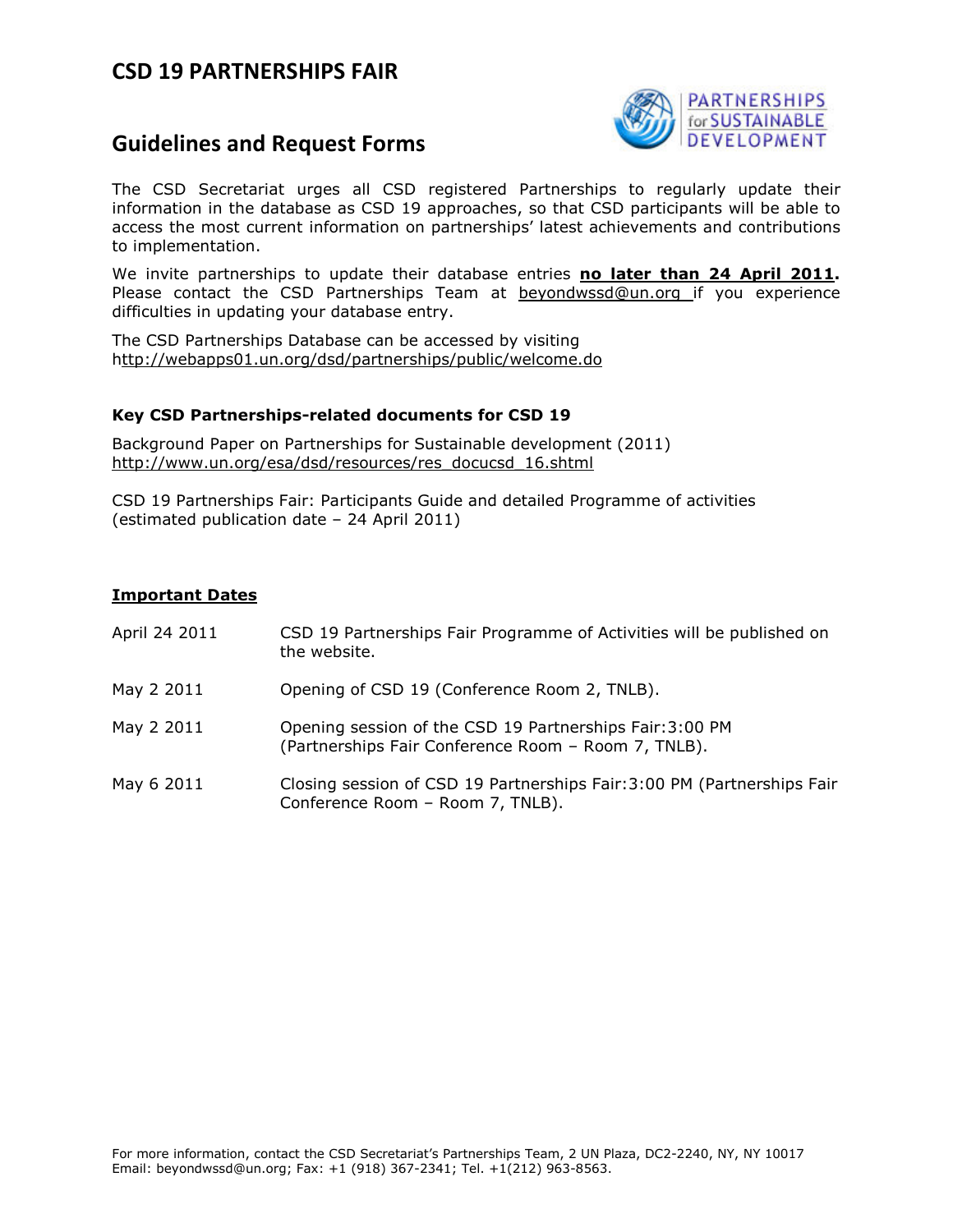

## **Guidelines and Request Forms**

The CSD Secretariat urges all CSD registered Partnerships to regularly update their information in the database as CSD 19 approaches, so that CSD participants will be able to access the most current information on partnerships' latest achievements and contributions to implementation.

We invite partnerships to update their database entries **no later than 24 April 2011.**  Please contact the CSD Partnerships Team at beyondwssd@un.org if you experience difficulties in updating your database entry.

The CSD Partnerships Database can be accessed by visiting http://webapps01.un.org/dsd/partnerships/public/welcome.do

### **Key CSD Partnerships-related documents for CSD 19**

Background Paper on Partnerships for Sustainable development (2011) http://www.un.org/esa/dsd/resources/res\_docucsd\_16.shtml

CSD 19 Partnerships Fair: Participants Guide and detailed Programme of activities (estimated publication date – 24 April 2011)

### **Important Dates**

| April 24 2011 | CSD 19 Partnerships Fair Programme of Activities will be published on<br>the website. |
|---------------|---------------------------------------------------------------------------------------|
| May 2 2011    | Opening of CSD 19 (Conference Room 2, TNLB).                                          |

- May 2 2011 Opening session of the CSD 19 Partnerships Fair:3:00 PM (Partnerships Fair Conference Room – Room 7, TNLB).
- May 6 2011 Closing session of CSD 19 Partnerships Fair:3:00 PM (Partnerships Fair Conference Room – Room 7, TNLB).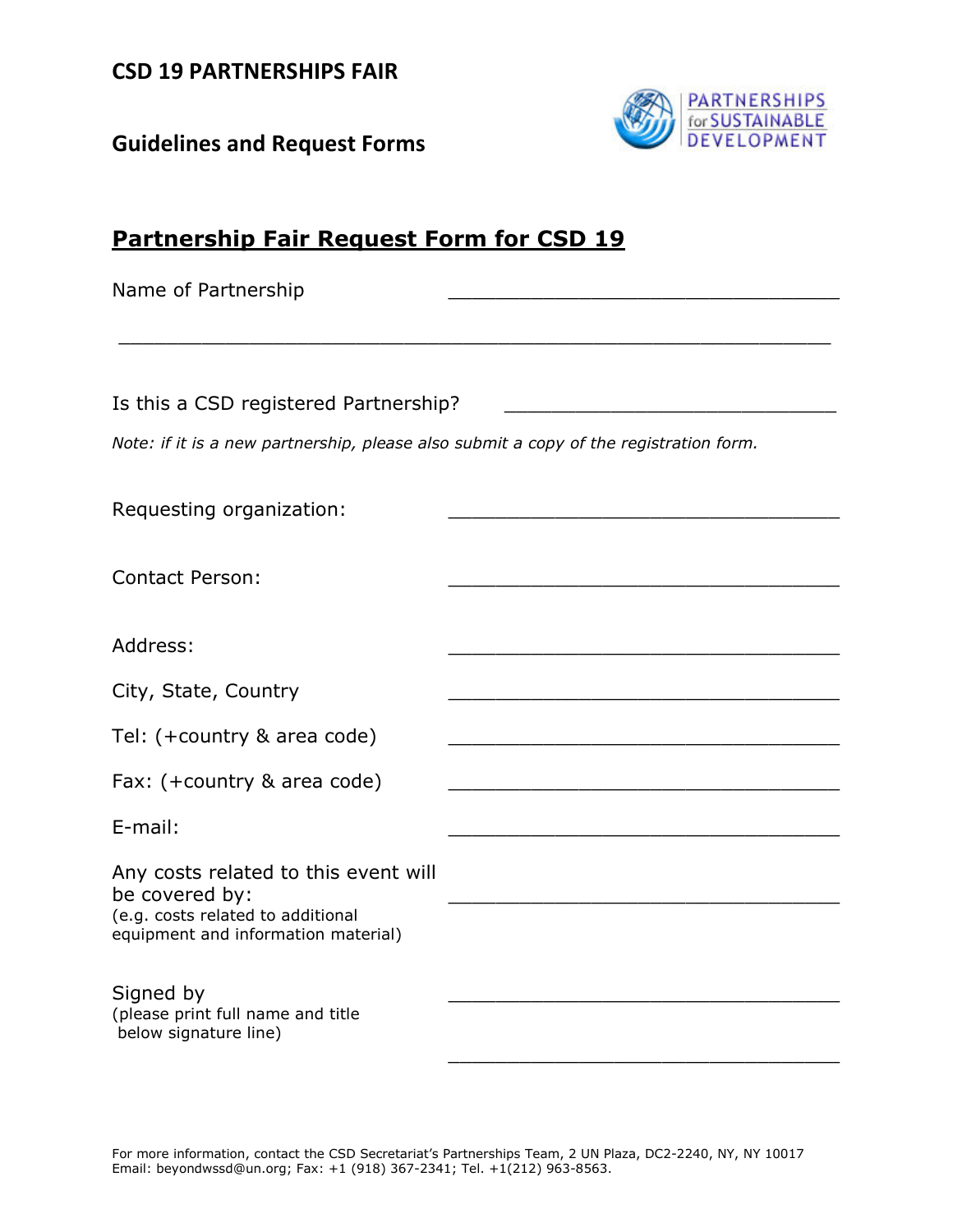**Guidelines and Request Forms** 



| <b>Partnership Fair Request Form for CSD 19</b>                                                                                    |                                                            |  |  |
|------------------------------------------------------------------------------------------------------------------------------------|------------------------------------------------------------|--|--|
| Name of Partnership                                                                                                                |                                                            |  |  |
|                                                                                                                                    |                                                            |  |  |
| Is this a CSD registered Partnership?                                                                                              |                                                            |  |  |
| Note: if it is a new partnership, please also submit a copy of the registration form.                                              |                                                            |  |  |
| Requesting organization:                                                                                                           |                                                            |  |  |
| <b>Contact Person:</b>                                                                                                             |                                                            |  |  |
| Address:                                                                                                                           |                                                            |  |  |
| City, State, Country                                                                                                               |                                                            |  |  |
| Tel: (+country & area code)                                                                                                        |                                                            |  |  |
| Fax: (+country & area code)                                                                                                        | <u> 1980 - Jan James James, politik fizikar (h. 1980).</u> |  |  |
| E-mail:                                                                                                                            |                                                            |  |  |
| Any costs related to this event will<br>be covered by:<br>(e.g. costs related to additional<br>equipment and information material) |                                                            |  |  |
| Signed by<br>(please print full name and title<br>below signature line)                                                            |                                                            |  |  |